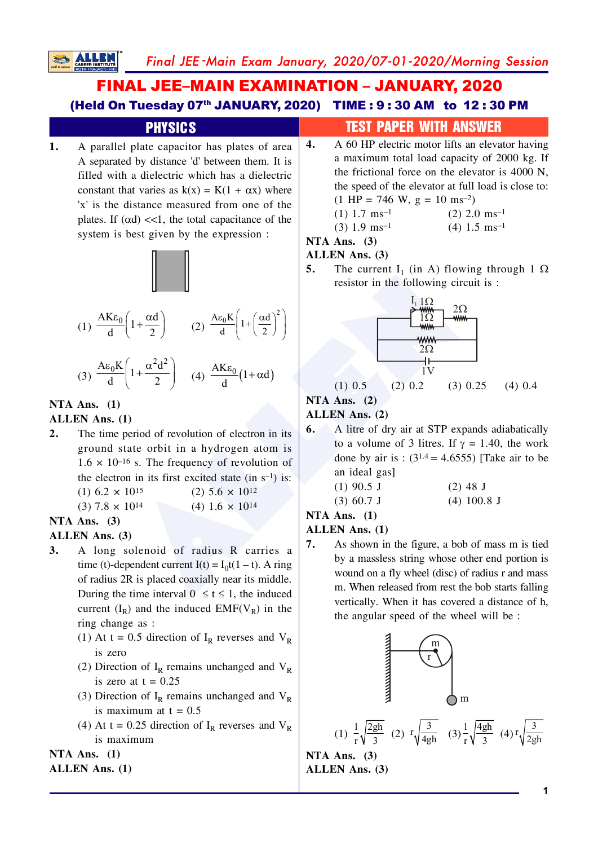# **FINAL JEE-MAIN EXAMINATION - JANUARY, 2020** (Held On Tuesday 07th JANUARY, 2020) TIME: 9:30 AM to 12:30 PM

#### **PHYSICS**  $\boldsymbol{4}$ .  $\mathbf{1}$ . A parallel plate capacitor has plates of area A separated by distance 'd' between them. It is filled with a dielectric which has a dielectric constant that varies as  $k(x) = K(1 + \alpha x)$  where 'x' is the distance measured from one of the plates. If  $(\alpha d) \ll 1$ , the total capacitance of the



system is best given by the expression :

(1) 
$$
\frac{AK\epsilon_0}{d} \left(1 + \frac{\alpha d}{2}\right)
$$
 (2)  $\frac{A\epsilon_0 K}{d} \left(1 + \left(\frac{\alpha d}{2}\right)^2\right)$   
(3)  $\frac{A\epsilon_0 K}{d} \left(1 + \frac{\alpha^2 d^2}{2}\right)$  (4)  $\frac{AK\epsilon_0}{d} \left(1 + \alpha d\right)$ 

$$
(3) \frac{A\epsilon_0 R}{d} \left( 1 + \frac{\alpha d}{2} \right) \quad (4) \frac{A K \epsilon_0}{d} \left( 1 + \frac{A\epsilon_0}{d} \right)
$$

## NTA Ans.  $(1)$

**ALLE** 

#### **ALLEN** Ans. (1)

 $2.$ The time period of revolution of electron in its ground state orbit in a hydrogen atom is  $1.6 \times 10^{-16}$  s. The frequency of revolution of the electron in its first excited state (in  $s^{-1}$ ) is:  $(1)$  6.2  $\times$  10<sup>15</sup>  $(2)$  5.6  $\times$  10<sup>12</sup>

 $10^{14}$ 

$$
(3) 7.8 \times 10^{14} \qquad (4) 1.6 \times
$$

#### NTA Ans.  $(3)$

#### **ALLEN** Ans. (3)

- A long solenoid of radius R carries a  $\mathbf{3}$ . time (t)-dependent current  $I(t) = I_0t(1-t)$ . A ring of radius 2R is placed coaxially near its middle. During the time interval  $0 \le t \le 1$ , the induced current  $(I_R)$  and the induced EMF( $V_R$ ) in the ring change as :
	- (1) At t = 0.5 direction of  $I_R$  reverses and  $V_R$ is zero
	- (2) Direction of  $I_R$  remains unchanged and  $V_R$ is zero at  $t = 0.25$
	- (3) Direction of  $I_R$  remains unchanged and  $V_R$ is maximum at  $t = 0.5$
	- (4) At t = 0.25 direction of  $I_R$  reverses and  $V_R$ is maximum

#### NTA Ans.  $(1)$

#### **ALLEN Ans. (1)**

# **TEST PAPER WITH ANSWER**

A 60 HP electric motor lifts an elevator having a maximum total load capacity of 2000 kg. If the frictional force on the elevator is 4000 N, the speed of the elevator at full load is close to:  $(1 \text{ HP} = 746 \text{ W}, \text{ g} = 10 \text{ ms}^{-2})$ 

$$
(1) 1.7 \text{ ms}^{-1} \qquad (2) 2.0 \text{ ms}^{-1}
$$

NTA Ans.  $(3)$ 

#### **ALLEN** Ans. (3)

5. The current I<sub>1</sub> (in A) flowing through 1  $\Omega$ resistor in the following circuit is :



#### $(1)$  0.5  $(2)$  0.2  $(3)$  0.25  $(4)$  0.4 NTA Ans.  $(2)$

## ALLEN Ans. (2)

A litre of dry air at STP expands adiabatically 6. to a volume of 3 litres. If  $\gamma = 1.40$ , the work done by air is:  $(3^{1.4} = 4.6555)$  [Take air to be an ideal gas]

| $(1)$ 90.5 J | $(2)$ 48 J    |
|--------------|---------------|
| $(3)$ 60.7 J | $(4)$ 100.8 J |

#### NTA Ans.  $(1)$

#### **ALLEN** Ans. (1)

7. As shown in the figure, a bob of mass m is tied by a massless string whose other end portion is wound on a fly wheel (disc) of radius r and mass m. When released from rest the bob starts falling vertically. When it has covered a distance of h, the angular speed of the wheel will be:



(1) 
$$
\frac{1}{r} \sqrt{\frac{2gh}{3}}
$$
 (2)  $r \sqrt{\frac{3}{4gh}}$  (3)  $\frac{1}{r} \sqrt{\frac{4gh}{3}}$  (4)  $r \sqrt{\frac{3}{2gh}}$ 

NTA Ans.  $(3)$ ALLEN Ans. (3)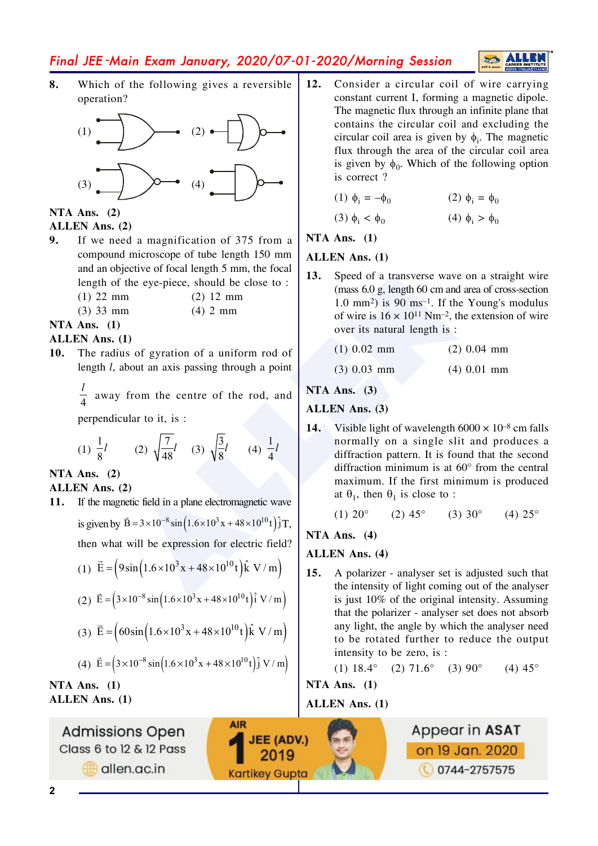# Final JEE-Main Exam January, 2020/07-01-2020/Morning Session

8. Which of the following gives a reversible operation?



#### NTA Ans.  $(2)$ ALLEN Ans. (2)

- $9<sub>1</sub>$ If we need a magnification of 375 from a compound microscope of tube length 150 mm and an objective of focal length 5 mm, the focal length of the eye-piece, should be close to:
	- $(1)$  22 mm  $(2)$  12 mm  $(4)$  2 mm

 $(3)$  33 mm

# NTA Ans.  $(1)$

#### **ALLEN Ans. (1)**

The radius of gyration of a uniform rod of  $10.$ length  $l$ , about an axis passing through a point

 $\frac{l}{4}$  away from the centre of the rod, and

perpendicular to it, is :

(1) 
$$
\frac{1}{8}
$$
  
(2)  $\sqrt{\frac{7}{48}}$   
(3)  $\sqrt{\frac{3}{8}}$   
(4)  $\frac{1}{4}$ 

NTA Ans.  $(2)$ 

- ALLEN Ans. (2)
- $11.$ If the magnetic field in a plane electromagnetic wave is given by  $\vec{B} = 3 \times 10^{-8} \sin \left( 1.6 \times 10^{3} x + 48 \times 10^{10} t \right) \hat{j} T$ , then what will be expression for electric field?
	- (1)  $\vec{E} = (9\sin(1.6 \times 10^3 x + 48 \times 10^{10} t)\hat{k} V/m)$
	- (2)  $\vec{E} = (3 \times 10^{-8} \sin(1.6 \times 10^{3} x + 48 \times 10^{10} t)) \hat{i} V/m)$
	- (3)  $\vec{E} = (60\sin(1.6 \times 10^3 x + 48 \times 10^{10} t)\hat{k} V/m)$

(4) 
$$
\vec{E} = 3 \times 10^{-8} \sin 1.6 \times 10^{3} x + 48 \times 10^{10} t \hat{j} V/m
$$

NTA Ans.  $(1)$ **ALLEN Ans. (1)** 

**Admissions Open** Class 6 to 12 & 12 Pass allen.ac.in

 $12.$ Consider a circular coil of wire carrying constant current I, forming a magnetic dipole. The magnetic flux through an infinite plane that contains the circular coil and excluding the circular coil area is given by  $\phi_i$ . The magnetic flux through the area of the circular coil area is given by  $\phi_0$ . Which of the following option is correct?

**ALLE** 

$$
(1) \ \phi_i = -\phi_0 \qquad \qquad (2) \ \phi_i = \phi_0
$$

$$
(3) \phi_i < \phi_0 \tag{4} \phi_i > \phi_0
$$

NTA Ans.  $(1)$ 

#### **ALLEN** Ans. (1)

13. Speed of a transverse wave on a straight wire (mass 6.0 g, length 60 cm and area of cross-section  $1.0 \text{ mm}^2$ ) is 90 ms<sup>-1</sup>. If the Young's modulus of wire is  $16 \times 10^{11}$  Nm<sup>-2</sup>, the extension of wire over its natural length is:

| $(1)$ 0.02 mm | $(2)$ 0.04 mm |
|---------------|---------------|
|---------------|---------------|

 $(3)$  0.03 mm  $(4)$  0.01 mm

NTA Ans.  $(3)$ 

#### **ALLEN** Ans. (3)

 $14.$ Visible light of wavelength  $6000 \times 10^{-8}$  cm falls normally on a single slit and produces a diffraction pattern. It is found that the second diffraction minimum is at  $60^{\circ}$  from the central maximum. If the first minimum is produced at  $\theta_1$ , then  $\theta_1$  is close to :

(1) 
$$
20^{\circ}
$$
 (2)  $45^{\circ}$  (3)  $30^{\circ}$  (4)  $25^{\circ}$ 

NTA Ans.  $(4)$ 

#### **ALLEN Ans. (4)**

 $15.$ A polarizer - analyser set is adjusted such that the intensity of light coming out of the analyser is just 10% of the original intensity. Assuming that the polarizer - analyser set does not absorb any light, the angle by which the analyser need to be rotated further to reduce the output intensity to be zero, is :

> (1)  $18.4^{\circ}$  (2)  $71.6^{\circ}$  (3)  $90^{\circ}$  $(4) 45^{\circ}$

NTA Ans.  $(1)$ 

#### **ALLEN Ans.** (1)

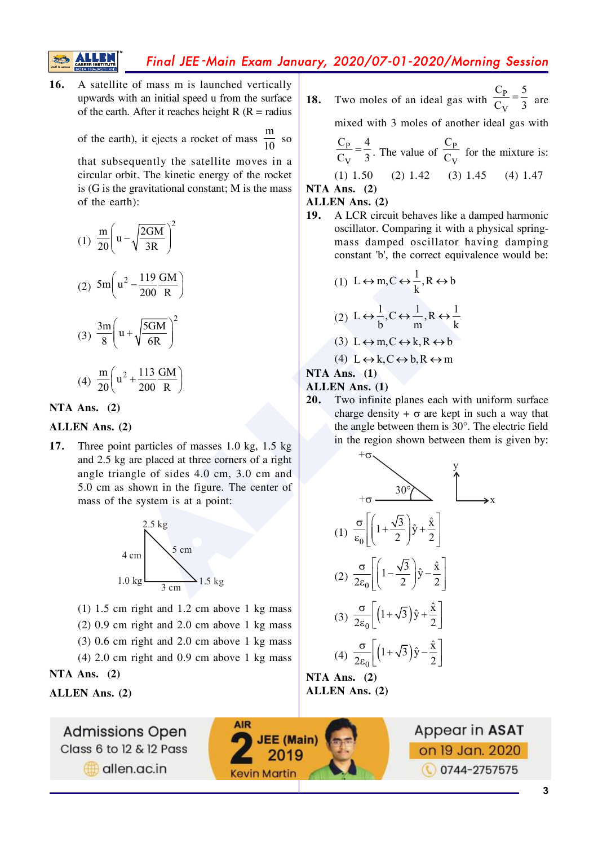Final JEE-Main Exam January, 2020/07-01-2020/Morning Session

16. A satellite of mass m is launched vertically upwards with an initial speed u from the surface of the earth. After it reaches height R ( $R =$  radius

of the earth), it ejects a rocket of mass 
$$
\frac{m}{10}
$$
 so

that subsequently the satellite moves in a circular orbit. The kinetic energy of the rocket is  $(G$  is the gravitational constant; M is the mass of the earth):

(1) 
$$
\frac{m}{20} \left( u - \sqrt{\frac{2GM}{3R}} \right)^2
$$
  
\n(2)  $5m \left( u^2 - \frac{119 \text{ GM}}{200 \text{ R}} \right)$   
\n(3)  $\frac{3m}{8} \left( u + \sqrt{\frac{5GM}{6R}} \right)^2$   
\n(4)  $\frac{m}{20} \left( u^2 + \frac{113 \text{ GM}}{200 \text{ R}} \right)$ 

NTA Ans.  $(2)$ 

#### ALLEN Ans. (2)

Three point particles of masses 1.0 kg, 1.5 kg 17. and 2.5 kg are placed at three corners of a right angle triangle of sides 4.0 cm, 3.0 cm and 5.0 cm as shown in the figure. The center of mass of the system is at a point:



- $(1)$  1.5 cm right and 1.2 cm above 1 kg mass
- $(2)$  0.9 cm right and 2.0 cm above 1 kg mass
- $(3)$  0.6 cm right and 2.0 cm above 1 kg mass
- $(4)$  2.0 cm right and 0.9 cm above 1 kg mass

**AIR** 

**JEE (Main)** 

2019

**Kevin Martin** 

NTA Ans.  $(2)$ 

**ALLEN Ans. (2)** 

**Admissions Open** Class 6 to 12 & 12 Pass allen.ac.in

Two moles of an ideal gas with  $\frac{C_p}{C_{vr}} = \frac{5}{3}$  are 18.

mixed with 3 moles of another ideal gas with

$$
\frac{C_P}{C_V} = \frac{4}{3}
$$
. The value of  $\frac{C_P}{C_V}$  for the mixture is:

 $(1)$  1.50  $(2)$  1.42  $(3)$  1.45  $(4)$  1.47 NTA Ans.  $(2)$ 

#### ALLEN Ans. (2)

A LCR circuit behaves like a damped harmonic **19.** oscillator. Comparing it with a physical springmass damped oscillator having damping constant 'b', the correct equivalence would be:

(1) 
$$
L \leftrightarrow m, C \leftrightarrow \frac{1}{k}, R \leftrightarrow b
$$
  
\n(2)  $L \leftrightarrow \frac{1}{b}, C \leftrightarrow \frac{1}{m}, R \leftrightarrow \frac{1}{k}$   
\n(3)  $L \leftrightarrow m, C \leftrightarrow k, R \leftrightarrow b$ 

 $(4) L \leftrightarrow k, C \leftrightarrow b, R \leftrightarrow m$ 

#### NTA Ans.  $(1)$

#### **ALLEN Ans. (1)**

20. Two infinite planes each with uniform surface charge density  $+ \sigma$  are kept in such a way that the angle between them is 30°. The electric field in the region shown between them is given by:



NTA Ans.  $(2)$ ALLEN Ans. (2)